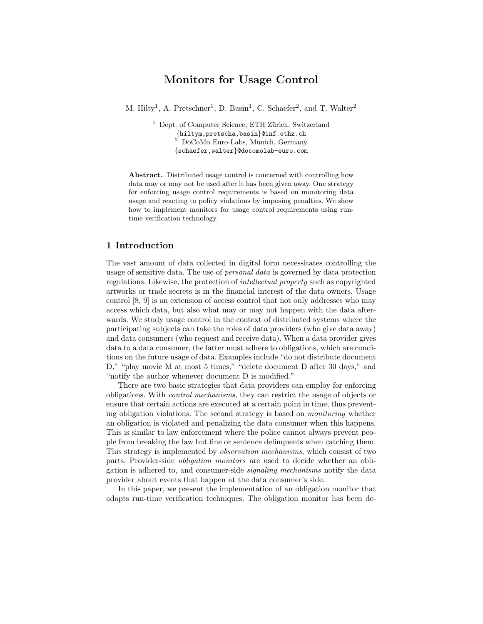# Monitors for Usage Control

M. Hilty<sup>1</sup>, A. Pretschner<sup>1</sup>, D. Basin<sup>1</sup>, C. Schaefer<sup>2</sup>, and T. Walter<sup>2</sup>

 $1$  Dept. of Computer Science, ETH Zürich, Switzerland {hiltym, pretscha, basin}@inf.ethz.ch <sup>2</sup> DoCoMo Euro-Labs, Munich, Germany {schaefer,walter}@docomolab-euro.com

Abstract. Distributed usage control is concerned with controlling how data may or may not be used after it has been given away. One strategy for enforcing usage control requirements is based on monitoring data usage and reacting to policy violations by imposing penalties. We show how to implement monitors for usage control requirements using runtime verification technology.

#### 1 Introduction

The vast amount of data collected in digital form necessitates controlling the usage of sensitive data. The use of *personal data* is governed by data protection regulations. Likewise, the protection of intellectual property such as copyrighted artworks or trade secrets is in the financial interest of the data owners. Usage control [8, 9] is an extension of access control that not only addresses who may access which data, but also what may or may not happen with the data afterwards. We study usage control in the context of distributed systems where the participating subjects can take the roles of data providers (who give data away) and data consumers (who request and receive data). When a data provider gives data to a data consumer, the latter must adhere to obligations, which are conditions on the future usage of data. Examples include "do not distribute document D," "play movie M at most 5 times," "delete document D after 30 days," and "notify the author whenever document D is modified."

There are two basic strategies that data providers can employ for enforcing obligations. With control mechanisms, they can restrict the usage of objects or ensure that certain actions are executed at a certain point in time, thus preventing obligation violations. The second strategy is based on monitoring whether an obligation is violated and penalizing the data consumer when this happens. This is similar to law enforcement where the police cannot always prevent people from breaking the law but fine or sentence delinquents when catching them. This strategy is implemented by observation mechanisms, which consist of two parts. Provider-side obligation monitors are used to decide whether an obligation is adhered to, and consumer-side signaling mechanisms notify the data provider about events that happen at the data consumer's side.

In this paper, we present the implementation of an obligation monitor that adapts run-time verification techniques. The obligation monitor has been de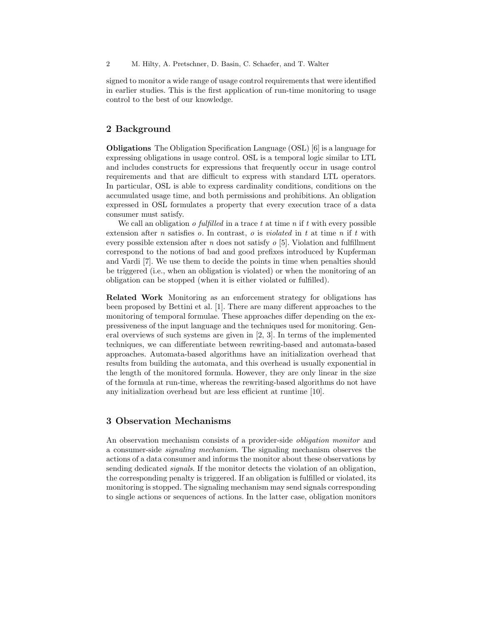signed to monitor a wide range of usage control requirements that were identified in earlier studies. This is the first application of run-time monitoring to usage control to the best of our knowledge.

## 2 Background

Obligations The Obligation Specification Language (OSL) [6] is a language for expressing obligations in usage control. OSL is a temporal logic similar to LTL and includes constructs for expressions that frequently occur in usage control requirements and that are difficult to express with standard LTL operators. In particular, OSL is able to express cardinality conditions, conditions on the accumulated usage time, and both permissions and prohibitions. An obligation expressed in OSL formulates a property that every execution trace of a data consumer must satisfy.

We call an obligation o fulfilled in a trace t at time n if t with every possible extension after n satisfies  $o$ . In contrast,  $o$  is *violated* in t at time n if t with every possible extension after  $n$  does not satisfy  $o$  [5]. Violation and fulfillment correspond to the notions of bad and good prefixes introduced by Kupferman and Vardi [7]. We use them to decide the points in time when penalties should be triggered (i.e., when an obligation is violated) or when the monitoring of an obligation can be stopped (when it is either violated or fulfilled).

Related Work Monitoring as an enforcement strategy for obligations has been proposed by Bettini et al. [1]. There are many different approaches to the monitoring of temporal formulae. These approaches differ depending on the expressiveness of the input language and the techniques used for monitoring. General overviews of such systems are given in [2, 3]. In terms of the implemented techniques, we can differentiate between rewriting-based and automata-based approaches. Automata-based algorithms have an initialization overhead that results from building the automata, and this overhead is usually exponential in the length of the monitored formula. However, they are only linear in the size of the formula at run-time, whereas the rewriting-based algorithms do not have any initialization overhead but are less efficient at runtime [10].

## 3 Observation Mechanisms

An observation mechanism consists of a provider-side obligation monitor and a consumer-side signaling mechanism. The signaling mechanism observes the actions of a data consumer and informs the monitor about these observations by sending dedicated *signals*. If the monitor detects the violation of an obligation, the corresponding penalty is triggered. If an obligation is fulfilled or violated, its monitoring is stopped. The signaling mechanism may send signals corresponding to single actions or sequences of actions. In the latter case, obligation monitors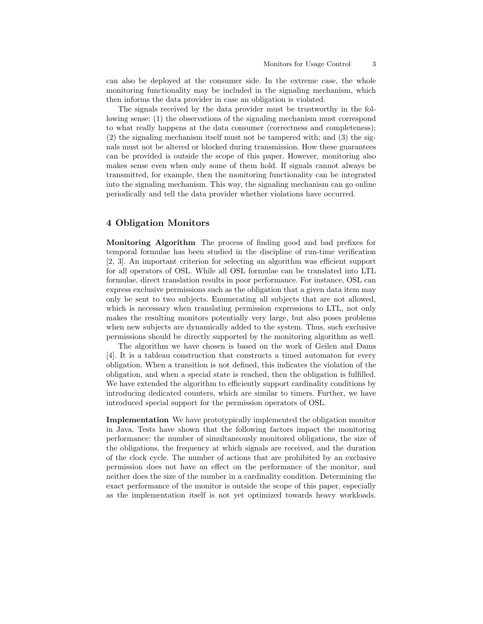can also be deployed at the consumer side. In the extreme case, the whole monitoring functionality may be included in the signaling mechanism, which then informs the data provider in case an obligation is violated.

The signals received by the data provider must be trustworthy in the following sense: (1) the observations of the signaling mechanism must correspond to what really happens at the data consumer (correctness and completeness); (2) the signaling mechanism itself must not be tampered with; and (3) the signals must not be altered or blocked during transmission. How these guarantees can be provided is outside the scope of this paper. However, monitoring also makes sense even when only some of them hold. If signals cannot always be transmitted, for example, then the monitoring functionality can be integrated into the signaling mechanism. This way, the signaling mechanism can go online periodically and tell the data provider whether violations have occurred.

# 4 Obligation Monitors

Monitoring Algorithm The process of finding good and bad prefixes for temporal formulae has been studied in the discipline of run-time verification [2, 3]. An important criterion for selecting an algorithm was efficient support for all operators of OSL. While all OSL formulae can be translated into LTL formulae, direct translation results in poor performance. For instance, OSL can express exclusive permissions such as the obligation that a given data item may only be sent to two subjects. Enumerating all subjects that are not allowed, which is necessary when translating permission expressions to LTL, not only makes the resulting monitors potentially very large, but also poses problems when new subjects are dynamically added to the system. Thus, such exclusive permissions should be directly supported by the monitoring algorithm as well.

The algorithm we have chosen is based on the work of Geilen and Dams [4]. It is a tableau construction that constructs a timed automaton for every obligation. When a transition is not defined, this indicates the violation of the obligation, and when a special state is reached, then the obligation is fulfilled. We have extended the algorithm to efficiently support cardinality conditions by introducing dedicated counters, which are similar to timers. Further, we have introduced special support for the permission operators of OSL.

Implementation We have prototypically implemented the obligation monitor in Java. Tests have shown that the following factors impact the monitoring performance: the number of simultaneously monitored obligations, the size of the obligations, the frequency at which signals are received, and the duration of the clock cycle. The number of actions that are prohibited by an exclusive permission does not have an effect on the performance of the monitor, and neither does the size of the number in a cardinality condition. Determining the exact performance of the monitor is outside the scope of this paper, especially as the implementation itself is not yet optimized towards heavy workloads.